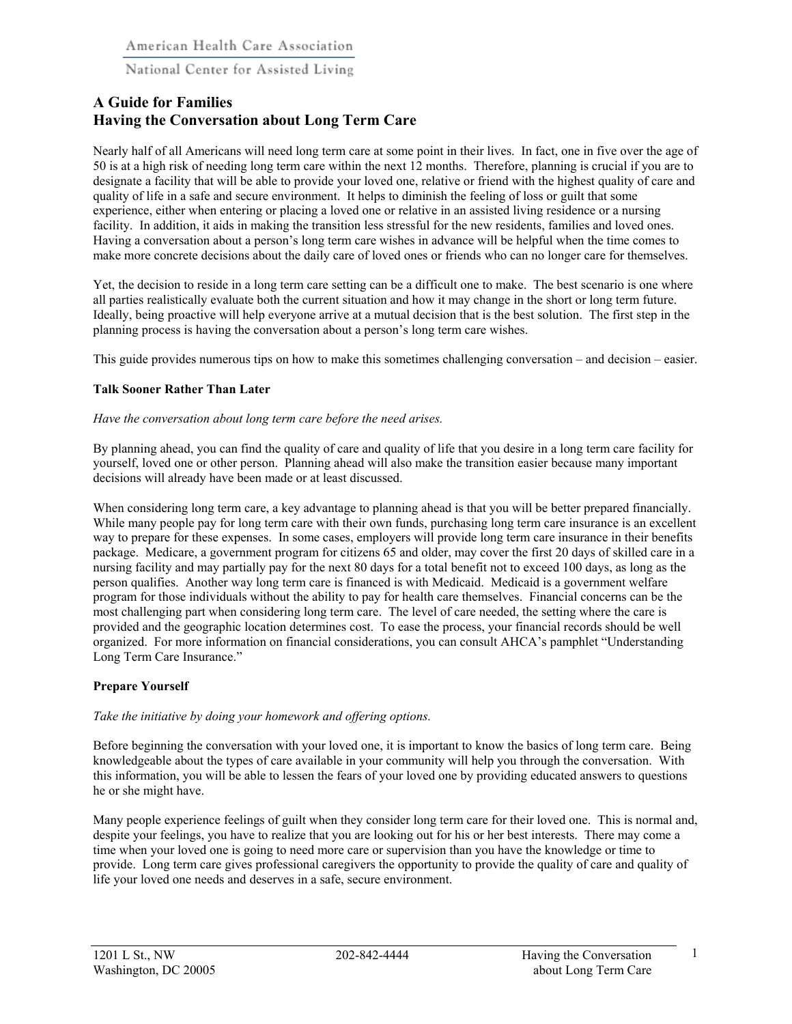National Center for Assisted Living

# **A Guide for Families Having the Conversation about Long Term Care**

Nearly half of all Americans will need long term care at some point in their lives. In fact, one in five over the age of 50 is at a high risk of needing long term care within the next 12 months. Therefore, planning is crucial if you are to designate a facility that will be able to provide your loved one, relative or friend with the highest quality of care and quality of life in a safe and secure environment. It helps to diminish the feeling of loss or guilt that some experience, either when entering or placing a loved one or relative in an assisted living residence or a nursing facility. In addition, it aids in making the transition less stressful for the new residents, families and loved ones. Having a conversation about a person's long term care wishes in advance will be helpful when the time comes to make more concrete decisions about the daily care of loved ones or friends who can no longer care for themselves.

Yet, the decision to reside in a long term care setting can be a difficult one to make. The best scenario is one where all parties realistically evaluate both the current situation and how it may change in the short or long term future. Ideally, being proactive will help everyone arrive at a mutual decision that is the best solution. The first step in the planning process is having the conversation about a person's long term care wishes.

This guide provides numerous tips on how to make this sometimes challenging conversation – and decision – easier.

### **Talk Sooner Rather Than Later**

#### *Have the conversation about long term care before the need arises.*

By planning ahead, you can find the quality of care and quality of life that you desire in a long term care facility for yourself, loved one or other person. Planning ahead will also make the transition easier because many important decisions will already have been made or at least discussed.

When considering long term care, a key advantage to planning ahead is that you will be better prepared financially. While many people pay for long term care with their own funds, purchasing long term care insurance is an excellent way to prepare for these expenses. In some cases, employers will provide long term care insurance in their benefits package. Medicare, a government program for citizens 65 and older, may cover the first 20 days of skilled care in a nursing facility and may partially pay for the next 80 days for a total benefit not to exceed 100 days, as long as the person qualifies. Another way long term care is financed is with Medicaid. Medicaid is a government welfare program for those individuals without the ability to pay for health care themselves. Financial concerns can be the most challenging part when considering long term care. The level of care needed, the setting where the care is provided and the geographic location determines cost. To ease the process, your financial records should be well organized. For more information on financial considerations, you can consult AHCA's pamphlet "Understanding Long Term Care Insurance."

### **Prepare Yourself**

### *Take the initiative by doing your homework and offering options.*

Before beginning the conversation with your loved one, it is important to know the basics of long term care. Being knowledgeable about the types of care available in your community will help you through the conversation. With this information, you will be able to lessen the fears of your loved one by providing educated answers to questions he or she might have.

Many people experience feelings of guilt when they consider long term care for their loved one. This is normal and, despite your feelings, you have to realize that you are looking out for his or her best interests. There may come a time when your loved one is going to need more care or supervision than you have the knowledge or time to provide. Long term care gives professional caregivers the opportunity to provide the quality of care and quality of life your loved one needs and deserves in a safe, secure environment.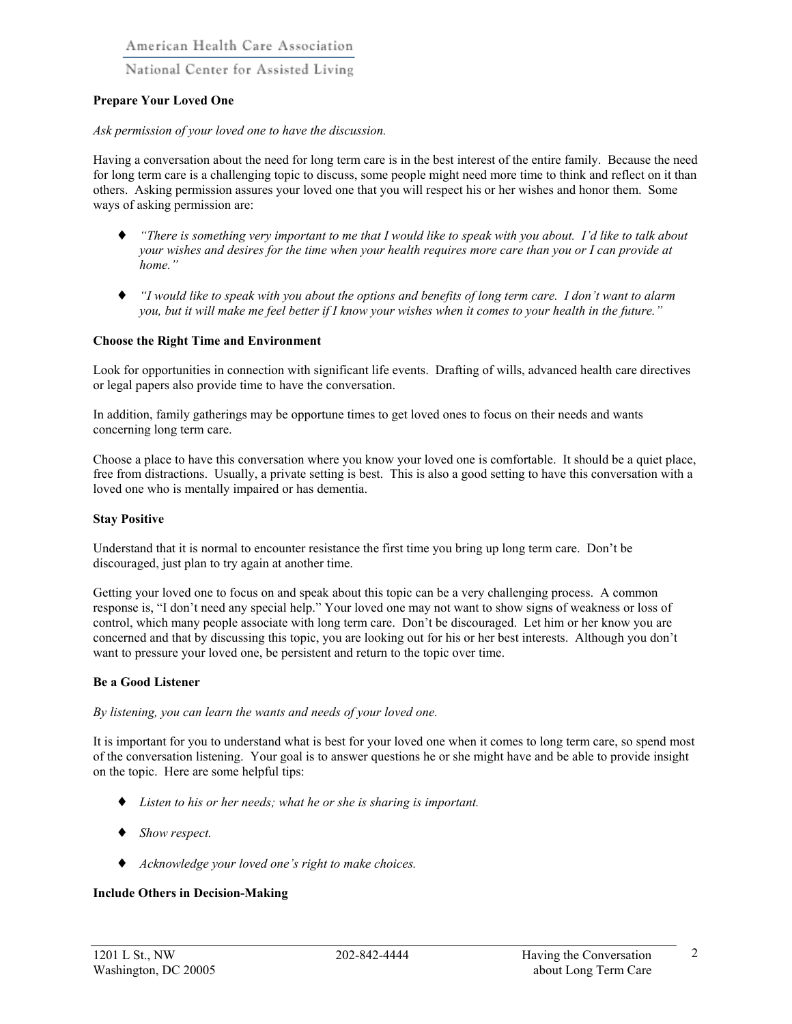American Health Care Association

National Center for Assisted Living

### **Prepare Your Loved One**

### *Ask permission of your loved one to have the discussion.*

Having a conversation about the need for long term care is in the best interest of the entire family. Because the need for long term care is a challenging topic to discuss, some people might need more time to think and reflect on it than others. Asking permission assures your loved one that you will respect his or her wishes and honor them. Some ways of asking permission are:

- ♦ *"There is something very important to me that I would like to speak with you about. I'd like to talk about your wishes and desires for the time when your health requires more care than you or I can provide at home."*
- ♦ *"I would like to speak with you about the options and benefits of long term care. I don't want to alarm you, but it will make me feel better if I know your wishes when it comes to your health in the future."*

### **Choose the Right Time and Environment**

Look for opportunities in connection with significant life events. Drafting of wills, advanced health care directives or legal papers also provide time to have the conversation.

In addition, family gatherings may be opportune times to get loved ones to focus on their needs and wants concerning long term care.

Choose a place to have this conversation where you know your loved one is comfortable. It should be a quiet place, free from distractions. Usually, a private setting is best. This is also a good setting to have this conversation with a loved one who is mentally impaired or has dementia.

### **Stay Positive**

Understand that it is normal to encounter resistance the first time you bring up long term care. Don't be discouraged, just plan to try again at another time.

Getting your loved one to focus on and speak about this topic can be a very challenging process. A common response is, "I don't need any special help." Your loved one may not want to show signs of weakness or loss of control, which many people associate with long term care. Don't be discouraged. Let him or her know you are concerned and that by discussing this topic, you are looking out for his or her best interests. Although you don't want to pressure your loved one, be persistent and return to the topic over time.

#### **Be a Good Listener**

#### *By listening, you can learn the wants and needs of your loved one.*

It is important for you to understand what is best for your loved one when it comes to long term care, so spend most of the conversation listening. Your goal is to answer questions he or she might have and be able to provide insight on the topic. Here are some helpful tips:

- ♦ *Listen to his or her needs; what he or she is sharing is important.*
- ♦ *Show respect.*
- ♦ *Acknowledge your loved one's right to make choices.*

#### **Include Others in Decision-Making**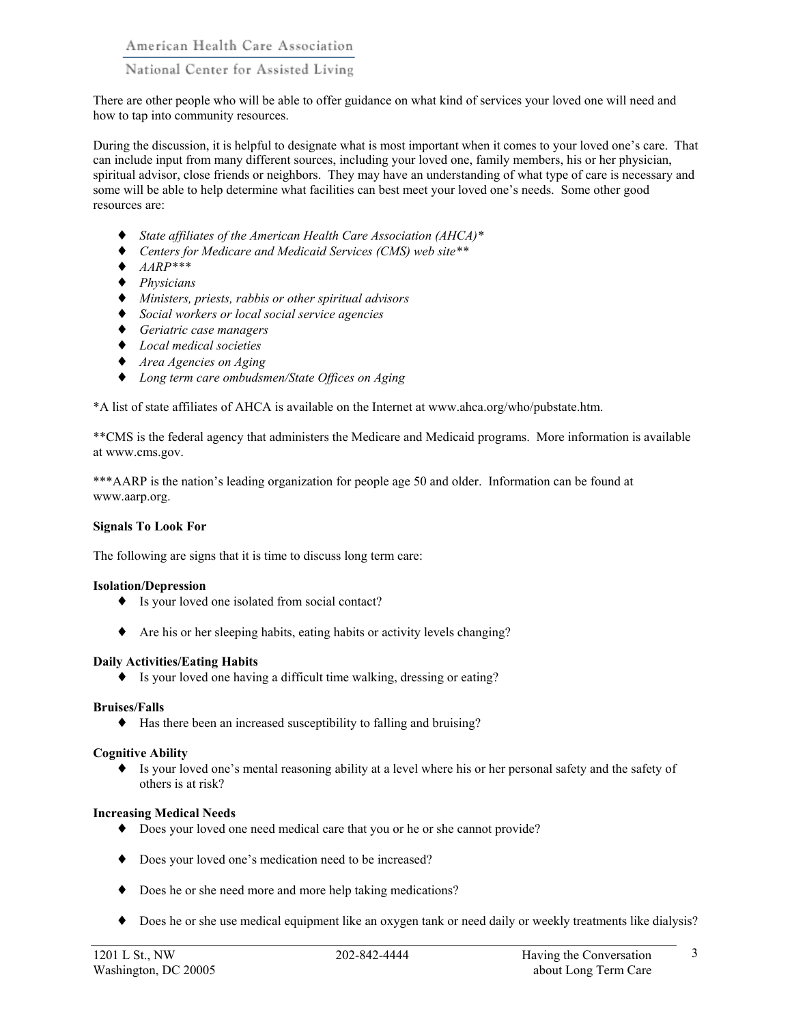American Health Care Association

# National Center for Assisted Living

There are other people who will be able to offer guidance on what kind of services your loved one will need and how to tap into community resources.

During the discussion, it is helpful to designate what is most important when it comes to your loved one's care. That can include input from many different sources, including your loved one, family members, his or her physician, spiritual advisor, close friends or neighbors. They may have an understanding of what type of care is necessary and some will be able to help determine what facilities can best meet your loved one's needs. Some other good resources are:

- ♦ *State affiliates of the American Health Care Association (AHCA)\**
- ♦ *Centers for Medicare and Medicaid Services (CMS) web site\*\**
- ♦ *AARP\*\*\**
- ♦ *Physicians*
- ♦ *Ministers, priests, rabbis or other spiritual advisors*
- ♦ *Social workers or local social service agencies*
- ♦ *Geriatric case managers*
- ♦ *Local medical societies*
- ♦ *Area Agencies on Aging*
- ♦ *Long term care ombudsmen/State Offices on Aging*

\*A list of state affiliates of AHCA is available on the Internet at www.ahca.org/who/pubstate.htm.

\*\*CMS is the federal agency that administers the Medicare and Medicaid programs. More information is available at www.cms.gov.

\*\*\*AARP is the nation's leading organization for people age 50 and older. Information can be found at www.aarp.org.

### **Signals To Look For**

The following are signs that it is time to discuss long term care:

#### **Isolation/Depression**

- ♦ Is your loved one isolated from social contact?
- ♦ Are his or her sleeping habits, eating habits or activity levels changing?

#### **Daily Activities/Eating Habits**

♦ Is your loved one having a difficult time walking, dressing or eating?

### **Bruises/Falls**

♦ Has there been an increased susceptibility to falling and bruising?

#### **Cognitive Ability**

♦ Is your loved one's mental reasoning ability at a level where his or her personal safety and the safety of others is at risk?

#### **Increasing Medical Needs**

- ♦ Does your loved one need medical care that you or he or she cannot provide?
- ♦ Does your loved one's medication need to be increased?
- ♦ Does he or she need more and more help taking medications?
- ♦ Does he or she use medical equipment like an oxygen tank or need daily or weekly treatments like dialysis?